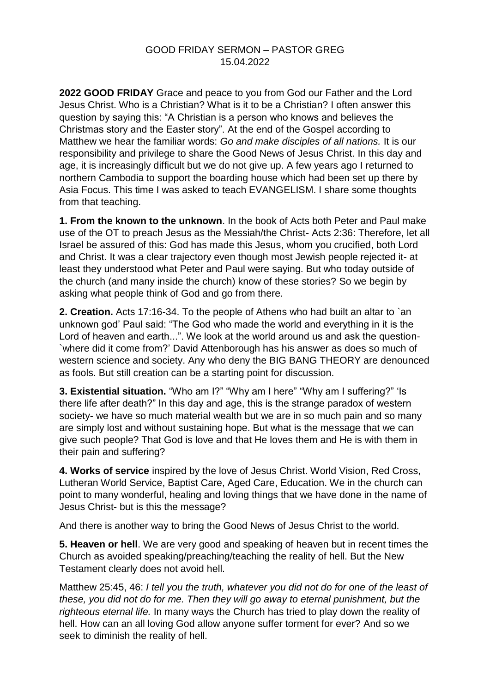## GOOD FRIDAY SERMON – PASTOR GREG 15.04.2022

**2022 GOOD FRIDAY** Grace and peace to you from God our Father and the Lord Jesus Christ. Who is a Christian? What is it to be a Christian? I often answer this question by saying this: "A Christian is a person who knows and believes the Christmas story and the Easter story". At the end of the Gospel according to Matthew we hear the familiar words: *Go and make disciples of all nations.* It is our responsibility and privilege to share the Good News of Jesus Christ. In this day and age, it is increasingly difficult but we do not give up. A few years ago I returned to northern Cambodia to support the boarding house which had been set up there by Asia Focus. This time I was asked to teach EVANGELISM. I share some thoughts from that teaching.

**1. From the known to the unknown**. In the book of Acts both Peter and Paul make use of the OT to preach Jesus as the Messiah/the Christ- Acts 2:36: Therefore, let all Israel be assured of this: God has made this Jesus, whom you crucified, both Lord and Christ. It was a clear trajectory even though most Jewish people rejected it- at least they understood what Peter and Paul were saying. But who today outside of the church (and many inside the church) know of these stories? So we begin by asking what people think of God and go from there.

**2. Creation.** Acts 17:16-34. To the people of Athens who had built an altar to `an unknown god' Paul said: "The God who made the world and everything in it is the Lord of heaven and earth...". We look at the world around us and ask the question- `where did it come from?' David Attenborough has his answer as does so much of western science and society. Any who deny the BIG BANG THEORY are denounced as fools. But still creation can be a starting point for discussion.

**3. Existential situation.** "Who am I?" "Why am I here" "Why am I suffering?" 'Is there life after death?" In this day and age, this is the strange paradox of western society- we have so much material wealth but we are in so much pain and so many are simply lost and without sustaining hope. But what is the message that we can give such people? That God is love and that He loves them and He is with them in their pain and suffering?

**4. Works of service** inspired by the love of Jesus Christ. World Vision, Red Cross, Lutheran World Service, Baptist Care, Aged Care, Education. We in the church can point to many wonderful, healing and loving things that we have done in the name of Jesus Christ- but is this the message?

And there is another way to bring the Good News of Jesus Christ to the world.

**5. Heaven or hell**. We are very good and speaking of heaven but in recent times the Church as avoided speaking/preaching/teaching the reality of hell. But the New Testament clearly does not avoid hell.

Matthew 25:45, 46: *I tell you the truth, whatever you did not do for one of the least of these, you did not do for me. Then they will go away to eternal punishment, but the righteous eternal life.* In many ways the Church has tried to play down the reality of hell. How can an all loving God allow anyone suffer torment for ever? And so we seek to diminish the reality of hell.